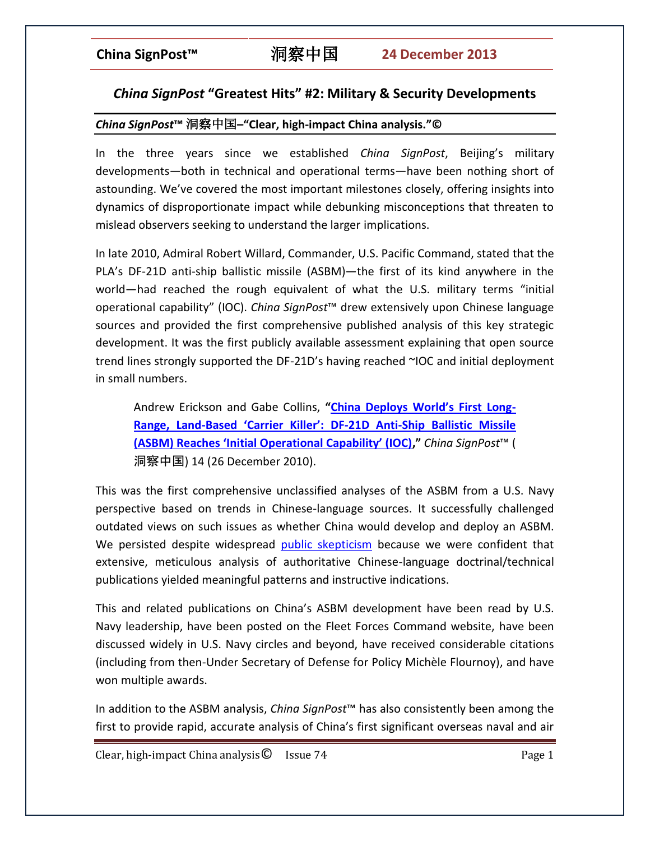# *China SignPost* **"Greatest Hits" #2: Military & Security Developments**

## *China SignPost***™** 洞察中国**–"Clear, high-impact China analysis."©**

In the three years since we established *China SignPost*, Beijing's military developments—both in technical and operational terms—have been nothing short of astounding. We've covered the most important milestones closely, offering insights into dynamics of disproportionate impact while debunking misconceptions that threaten to mislead observers seeking to understand the larger implications.

In late 2010, Admiral Robert Willard, Commander, U.S. Pacific Command, stated that the PLA's DF-21D anti-ship ballistic missile (ASBM)—the first of its kind anywhere in the world—had reached the rough equivalent of what the U.S. military terms "initial operational capability" (IOC). *China SignPost*™ drew extensively upon Chinese language sources and provided the first comprehensive published analysis of this key strategic development. It was the first publicly available assessment explaining that open source trend lines strongly supported the DF-21D's having reached ~IOC and initial deployment in small numbers.

Andrew Erickson and Gabe Collins, **["China Deploys World's First Long](http://www.chinasignpost.com/wp-content/uploads/2010/12/China_SignPost_14_ASBM_IOC_2010-12-26.pdf)-Range, Land-Based 'Carrier Killer': DF[-21D Anti-Ship Ballistic Missile](http://www.chinasignpost.com/wp-content/uploads/2010/12/China_SignPost_14_ASBM_IOC_2010-12-26.pdf)  [\(ASBM\) Reaches 'Initial Operational Capability' \(IOC\),](http://www.chinasignpost.com/wp-content/uploads/2010/12/China_SignPost_14_ASBM_IOC_2010-12-26.pdf)"** *China SignPost*™ ( 洞察中国) 14 (26 December 2010).

This was the first comprehensive unclassified analyses of the ASBM from a U.S. Navy perspective based on trends in Chinese-language sources. It successfully challenged outdated views on such issues as whether China would develop and deploy an ASBM. We persisted despite widespread [public skepticism](http://www.usni.org/magazines/proceedings/story.asp?STORY_ID=1898) because we were confident that extensive, meticulous analysis of authoritative Chinese-language doctrinal/technical publications yielded meaningful patterns and instructive indications.

This and related publications on China's ASBM development have been read by U.S. Navy leadership, have been posted on the Fleet Forces Command website, have been discussed widely in U.S. Navy circles and beyond, have received considerable citations (including from then-Under Secretary of Defense for Policy Michèle Flournoy), and have won multiple awards.

In addition to the ASBM analysis, *China SignPost*™ has also consistently been among the first to provide rapid, accurate analysis of China's first significant overseas naval and air

Clear, high-impact China analysis  $\bullet$  Issue 74 Page 1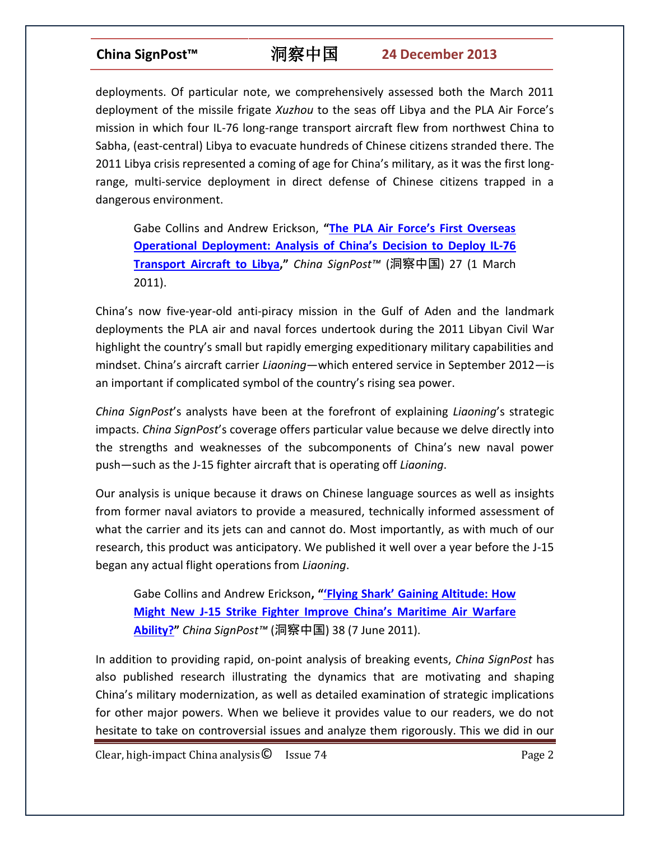deployments. Of particular note, we comprehensively assessed both the March 2011 deployment of the missile frigate *Xuzhou* to the seas off Libya and the PLA Air Force's mission in which four IL-76 long-range transport aircraft flew from northwest China to Sabha, (east-central) Libya to evacuate hundreds of Chinese citizens stranded there. The 2011 Libya crisis represented a coming of age for China's military, as it was the first longrange, multi-service deployment in direct defense of Chinese citizens trapped in a dangerous environment.

Gabe Collins and Andrew Erickson, **["The PLA Air Force's First Overseas](http://www.chinasignpost.com/wp-content/uploads/2011/03/China-SignPost_27_Analysis-of-PLAAF-IL-76-deployment-to-Libya_201103012.pdf)  [Operational Deployment: Analysis of China's](http://www.chinasignpost.com/wp-content/uploads/2011/03/China-SignPost_27_Analysis-of-PLAAF-IL-76-deployment-to-Libya_201103012.pdf) Decision to Deploy IL-76 [Transport Aircraft to Libya](http://www.chinasignpost.com/wp-content/uploads/2011/03/China-SignPost_27_Analysis-of-PLAAF-IL-76-deployment-to-Libya_201103012.pdf),"** *China SignPost™* (洞察中国) 27 (1 March 2011).

China's now five-year-old anti-piracy mission in the Gulf of Aden and the landmark deployments the PLA air and naval forces undertook during the 2011 Libyan Civil War highlight the country's small but rapidly emerging expeditionary military capabilities and mindset. China's aircraft carrier *Liaoning*—which entered service in September 2012—is an important if complicated symbol of the country's rising sea power.

*China SignPost*'s analysts have been at the forefront of explaining *Liaoning*'s strategic impacts. *China SignPost*'s coverage offers particular value because we delve directly into the strengths and weaknesses of the subcomponents of China's new naval power push—such as the J-15 fighter aircraft that is operating off *Liaoning*.

Our analysis is unique because it draws on Chinese language sources as well as insights from former naval aviators to provide a measured, technically informed assessment of what the carrier and its jets can and cannot do. Most importantly, as with much of our research, this product was anticipatory. We published it well over a year before the J-15 began any actual flight operations from *Liaoning*.

Gabe Collins and Andrew Erickson**, "'Flying Shark' [Gaining Altitude: How](http://www.andrewerickson.com/wp-content/uploads/2011/06/China-SignPost_38_-J15-Flying-Shark-Analysis_20110607.pdf)  [Might New J-15 Strike Fighter I](http://www.andrewerickson.com/wp-content/uploads/2011/06/China-SignPost_38_-J15-Flying-Shark-Analysis_20110607.pdf)mprove China's Maritime Air Warfare [Ability?](http://www.andrewerickson.com/wp-content/uploads/2011/06/China-SignPost_38_-J15-Flying-Shark-Analysis_20110607.pdf)"** *China SignPost™* (洞察中国) 38 (7 June 2011).

In addition to providing rapid, on-point analysis of breaking events, *China SignPost* has also published research illustrating the dynamics that are motivating and shaping China's military modernization, as well as detailed examination of strategic implications for other major powers. When we believe it provides value to our readers, we do not hesitate to take on controversial issues and analyze them rigorously. This we did in our

 $Clear, high-impact China analysis  $\odot$  \nIs sue 74 \nPermitian \nPermitian \nPermitian \nPermitian \nPermitian \nPermitian \nPermitian \nPermitian \nPermitian \nPermitian \nPermitian \nPermitian \nPermitian \nPermitian \nPermitian \nPermitian \nPermitian \nPermitian \nPermitian \nPermitian \nPermitian \nPermitian \nPermitian \nPermitian \nPermitian \nPermitian \nPermitian \nPermitian \nPermitian \nPermitian \nPermitian \nPermitian \nPermit$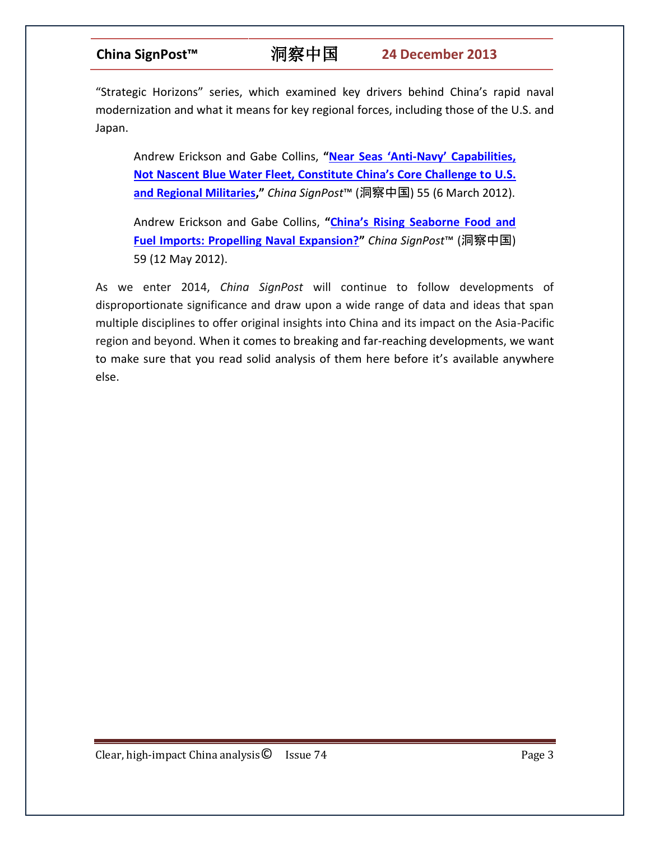"Strategic Horizons" series, which examined key drivers behind China's rapid naval modernization and what it means for key regional forces, including those of the U.S. and Japan.

Andrew Erickson and Gabe Collins, **"Near Seas 'Anti-Navy' [Capabilities,](http://www.chinasignpost.com/wp-content/uploads/2012/03/China-SignPost-55_Strategic-Horizon_1A_Near-Seas-Are-The-Real-Challenge_20120306.pdf)  N[ot Nascent Blue Water Fleet, Constitute China's Core Challenge t](http://www.chinasignpost.com/wp-content/uploads/2012/03/China-SignPost-55_Strategic-Horizon_1A_Near-Seas-Are-The-Real-Challenge_20120306.pdf)o U.S. [and Regional Militaries](http://www.chinasignpost.com/wp-content/uploads/2012/03/China-SignPost-55_Strategic-Horizon_1A_Near-Seas-Are-The-Real-Challenge_20120306.pdf),"** *China SignPost*™ (洞察中国) 55 (6 March 2012).

Andrew Erickson and Gabe Collins, **["China's Rising Seaborne Food and](http://www.chinasignpost.com/wp-content/uploads/2012/05/China-SignPost_59_Strategic-Horizon-1C_Energy-Resources-and-Naval-Modernization_201205121.pdf)  [Fuel Imports: Propelling Naval Expansion?](http://www.chinasignpost.com/wp-content/uploads/2012/05/China-SignPost_59_Strategic-Horizon-1C_Energy-Resources-and-Naval-Modernization_201205121.pdf)"** *China SignPost*™ (洞察中国) 59 (12 May 2012).

As we enter 2014, *China SignPost* will continue to follow developments of disproportionate significance and draw upon a wide range of data and ideas that span multiple disciplines to offer original insights into China and its impact on the Asia-Pacific region and beyond. When it comes to breaking and far-reaching developments, we want to make sure that you read solid analysis of them here before it's available anywhere else.